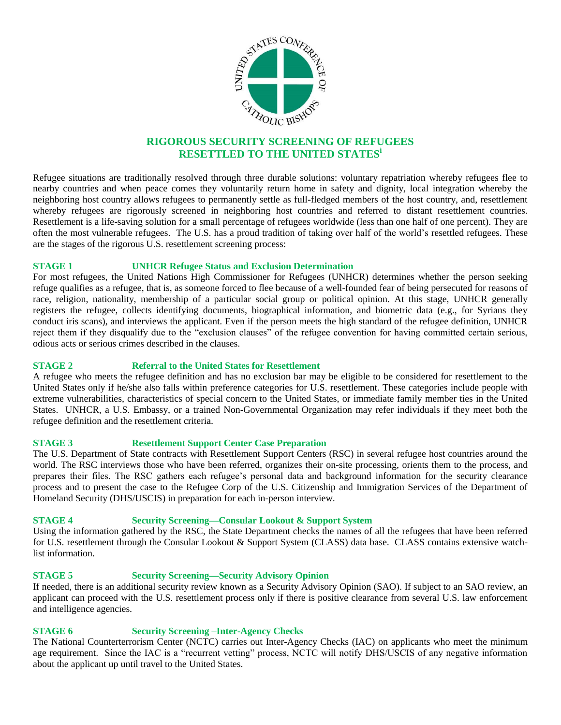

# **RIGOROUS SECURITY SCREENING OF REFUGEES RESETTLED TO THE UNITED STATES<sup>i</sup>**

Refugee situations are traditionally resolved through three durable solutions: voluntary repatriation whereby refugees flee to nearby countries and when peace comes they voluntarily return home in safety and dignity, local integration whereby the neighboring host country allows refugees to permanently settle as full-fledged members of the host country, and, resettlement whereby refugees are rigorously screened in neighboring host countries and referred to distant resettlement countries. Resettlement is a life-saving solution for a small percentage of refugees worldwide (less than one half of one percent). They are often the most vulnerable refugees. The U.S. has a proud tradition of taking over half of the world's resettled refugees. These are the stages of the rigorous U.S. resettlement screening process:

## **STAGE 1 UNHCR Refugee Status and Exclusion Determination**

For most refugees, the United Nations High Commissioner for Refugees (UNHCR) determines whether the person seeking refuge qualifies as a refugee, that is, as someone forced to flee because of a well-founded fear of being persecuted for reasons of race, religion, nationality, membership of a particular social group or political opinion. At this stage, UNHCR generally registers the refugee, collects identifying documents, biographical information, and biometric data (e.g., for Syrians they conduct iris scans), and interviews the applicant. Even if the person meets the high standard of the refugee definition, UNHCR reject them if they disqualify due to the "exclusion clauses" of the refugee convention for having committed certain serious, odious acts or serious crimes described in the clauses.

## **STAGE 2 Referral to the United States for Resettlement**

A refugee who meets the refugee definition and has no exclusion bar may be eligible to be considered for resettlement to the United States only if he/she also falls within preference categories for U.S. resettlement. These categories include people with extreme vulnerabilities, characteristics of special concern to the United States, or immediate family member ties in the United States. UNHCR, a U.S. Embassy, or a trained Non-Governmental Organization may refer individuals if they meet both the refugee definition and the resettlement criteria.

## **STAGE 3 Resettlement Support Center Case Preparation**

The U.S. Department of State contracts with Resettlement Support Centers (RSC) in several refugee host countries around the world. The RSC interviews those who have been referred, organizes their on-site processing, orients them to the process, and prepares their files. The RSC gathers each refugee's personal data and background information for the security clearance process and to present the case to the Refugee Corp of the U.S. Citizenship and Immigration Services of the Department of Homeland Security (DHS/USCIS) in preparation for each in-person interview.

## **STAGE 4 Security Screening—Consular Lookout & Support System**

Using the information gathered by the RSC, the State Department checks the names of all the refugees that have been referred for U.S. resettlement through the Consular Lookout & Support System (CLASS) data base. CLASS contains extensive watchlist information.

## **STAGE 5 Security Screening—Security Advisory Opinion**

If needed, there is an additional security review known as a Security Advisory Opinion (SAO). If subject to an SAO review, an applicant can proceed with the U.S. resettlement process only if there is positive clearance from several U.S. law enforcement and intelligence agencies.

## **STAGE 6 Security Screening –Inter-Agency Checks**

The National Counterterrorism Center (NCTC) carries out Inter-Agency Checks (IAC) on applicants who meet the minimum age requirement. Since the IAC is a "recurrent vetting" process, NCTC will notify DHS/USCIS of any negative information about the applicant up until travel to the United States.